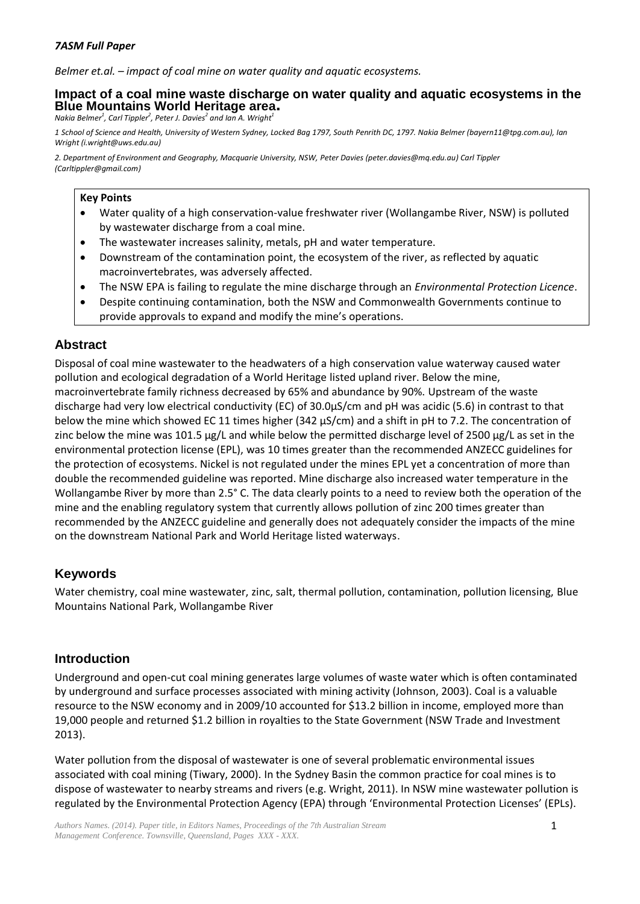*Belmer et.al. – impact of coal mine on water quality and aquatic ecosystems.*

#### **Impact of a coal mine waste discharge on water quality and aquatic ecosystems in the Blue Mountains World Heritage area.**

*Nakia Belmer<sup>1</sup> , Carl Tippler<sup>2</sup> , Peter J. Davies<sup>2</sup> and Ian A. Wright<sup>1</sup>*

*1 School of Science and Health, University of Western Sydney, Locked Bag 1797, South Penrith DC, 1797. Nakia Belmer (bayern11@tpg.com.au), Ian Wright (i.wright@uws.edu.au)*

*2. Department of Environment and Geography, Macquarie University, NSW, Peter Davies (peter.davies@mq.edu.au) Carl Tippler (Carltippler@gmail.com)*

#### **Key Points**

- Water quality of a high conservation-value freshwater river (Wollangambe River, NSW) is polluted by wastewater discharge from a coal mine.
- The wastewater increases salinity, metals, pH and water temperature.
- Downstream of the contamination point, the ecosystem of the river, as reflected by aquatic macroinvertebrates, was adversely affected.
- The NSW EPA is failing to regulate the mine discharge through an *Environmental Protection Licence*.
- Despite continuing contamination, both the NSW and Commonwealth Governments continue to provide approvals to expand and modify the mine's operations.

## **Abstract**

Disposal of coal mine wastewater to the headwaters of a high conservation value waterway caused water pollution and ecological degradation of a World Heritage listed upland river. Below the mine, macroinvertebrate family richness decreased by 65% and abundance by 90%. Upstream of the waste discharge had very low electrical conductivity (EC) of 30.0µS/cm and pH was acidic (5.6) in contrast to that below the mine which showed EC 11 times higher (342 µS/cm) and a shift in pH to 7.2. The concentration of zinc below the mine was 101.5 µg/L and while below the permitted discharge level of 2500 µg/L as set in the environmental protection license (EPL), was 10 times greater than the recommended ANZECC guidelines for the protection of ecosystems. Nickel is not regulated under the mines EPL yet a concentration of more than double the recommended guideline was reported. Mine discharge also increased water temperature in the Wollangambe River by more than 2.5° C. The data clearly points to a need to review both the operation of the mine and the enabling regulatory system that currently allows pollution of zinc 200 times greater than recommended by the ANZECC guideline and generally does not adequately consider the impacts of the mine on the downstream National Park and World Heritage listed waterways.

## **Keywords**

Water chemistry, coal mine wastewater, zinc, salt, thermal pollution, contamination, pollution licensing, Blue Mountains National Park, Wollangambe River

## **Introduction**

Underground and open-cut coal mining generates large volumes of waste water which is often contaminated by underground and surface processes associated with mining activity (Johnson, 2003). Coal is a valuable resource to the NSW economy and in 2009/10 accounted for \$13.2 billion in income, employed more than 19,000 people and returned \$1.2 billion in royalties to the State Government (NSW Trade and Investment 2013).

Water pollution from the disposal of wastewater is one of several problematic environmental issues associated with coal mining (Tiwary, 2000). In the Sydney Basin the common practice for coal mines is to dispose of wastewater to nearby streams and rivers (e.g. Wright, 2011). In NSW mine wastewater pollution is regulated by the Environmental Protection Agency (EPA) through 'Environmental Protection Licenses' (EPLs).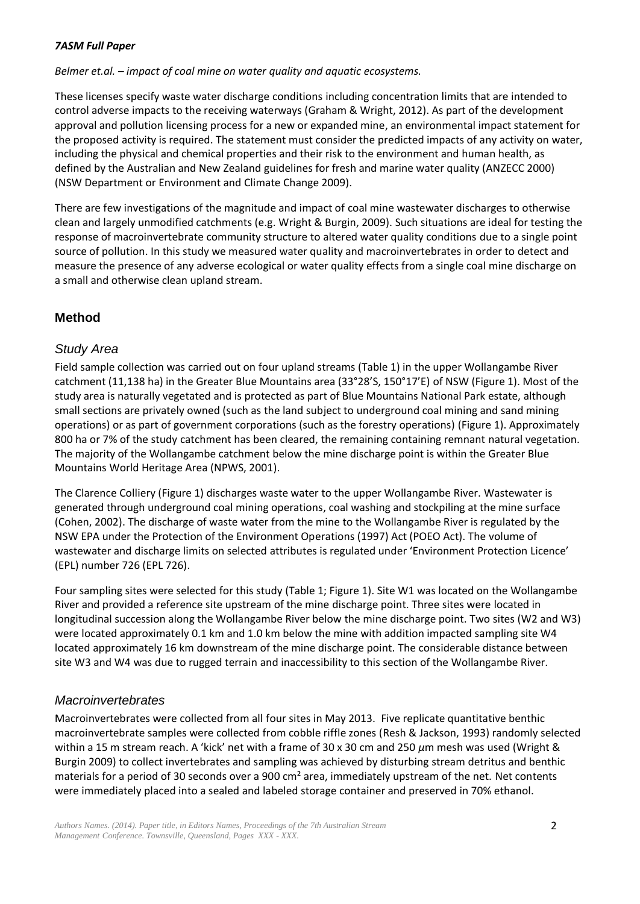*Belmer et.al. – impact of coal mine on water quality and aquatic ecosystems.*

These licenses specify waste water discharge conditions including concentration limits that are intended to control adverse impacts to the receiving waterways (Graham & Wright, 2012). As part of the development approval and pollution licensing process for a new or expanded mine, an environmental impact statement for the proposed activity is required. The statement must consider the predicted impacts of any activity on water, including the physical and chemical properties and their risk to the environment and human health, as defined by the Australian and New Zealand guidelines for fresh and marine water quality (ANZECC 2000) (NSW Department or Environment and Climate Change 2009).

There are few investigations of the magnitude and impact of coal mine wastewater discharges to otherwise clean and largely unmodified catchments (e.g. Wright & Burgin, 2009). Such situations are ideal for testing the response of macroinvertebrate community structure to altered water quality conditions due to a single point source of pollution. In this study we measured water quality and macroinvertebrates in order to detect and measure the presence of any adverse ecological or water quality effects from a single coal mine discharge on a small and otherwise clean upland stream.

# **Method**

## *Study Area*

Field sample collection was carried out on four upland streams (Table 1) in the upper Wollangambe River catchment (11,138 ha) in the Greater Blue Mountains area (33°28'S, 150°17'E) of NSW (Figure 1). Most of the study area is naturally vegetated and is protected as part of Blue Mountains National Park estate, although small sections are privately owned (such as the land subject to underground coal mining and sand mining operations) or as part of government corporations (such as the forestry operations) (Figure 1). Approximately 800 ha or 7% of the study catchment has been cleared, the remaining containing remnant natural vegetation. The majority of the Wollangambe catchment below the mine discharge point is within the Greater Blue Mountains World Heritage Area (NPWS, 2001).

The Clarence Colliery (Figure 1) discharges waste water to the upper Wollangambe River. Wastewater is generated through underground coal mining operations, coal washing and stockpiling at the mine surface (Cohen, 2002). The discharge of waste water from the mine to the Wollangambe River is regulated by the NSW EPA under the Protection of the Environment Operations (1997) Act (POEO Act). The volume of wastewater and discharge limits on selected attributes is regulated under 'Environment Protection Licence' (EPL) number 726 (EPL 726).

Four sampling sites were selected for this study (Table 1; Figure 1). Site W1 was located on the Wollangambe River and provided a reference site upstream of the mine discharge point. Three sites were located in longitudinal succession along the Wollangambe River below the mine discharge point. Two sites (W2 and W3) were located approximately 0.1 km and 1.0 km below the mine with addition impacted sampling site W4 located approximately 16 km downstream of the mine discharge point. The considerable distance between site W3 and W4 was due to rugged terrain and inaccessibility to this section of the Wollangambe River.

## *Macroinvertebrates*

Macroinvertebrates were collected from all four sites in May 2013. Five replicate quantitative benthic macroinvertebrate samples were collected from cobble riffle zones (Resh & Jackson, 1993) randomly selected within a 15 m stream reach. A 'kick' net with a frame of 30 x 30 cm and 250 *μ*m mesh was used (Wright & Burgin 2009) to collect invertebrates and sampling was achieved by disturbing stream detritus and benthic materials for a period of 30 seconds over a 900 cm<sup>2</sup> area, immediately upstream of the net. Net contents were immediately placed into a sealed and labeled storage container and preserved in 70% ethanol.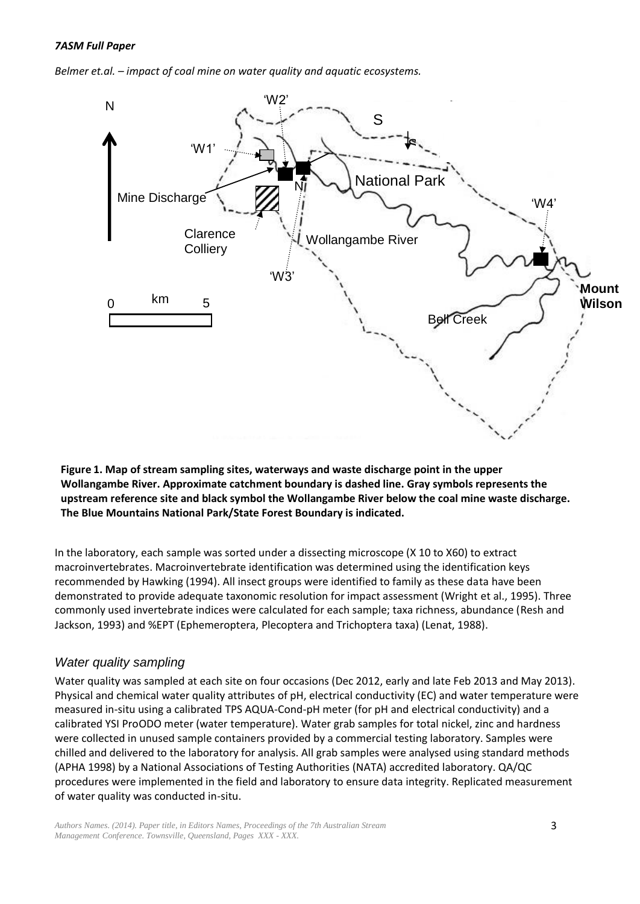*Belmer et.al. – impact of coal mine on water quality and aquatic ecosystems.*



**Figure 1. Map of stream sampling sites, waterways and waste discharge point in the upper Wollangambe River. Approximate catchment boundary is dashed line. Gray symbols represents the upstream reference site and black symbol the Wollangambe River below the coal mine waste discharge. The Blue Mountains National Park/State Forest Boundary is indicated.**

In the laboratory, each sample was sorted under a dissecting microscope (X 10 to X60) to extract macroinvertebrates. Macroinvertebrate identification was determined using the identification keys recommended by Hawking (1994). All insect groups were identified to family as these data have been demonstrated to provide adequate taxonomic resolution for impact assessment (Wright et al., 1995). Three commonly used invertebrate indices were calculated for each sample; taxa richness, abundance (Resh and Jackson, 1993) and %EPT (Ephemeroptera, Plecoptera and Trichoptera taxa) (Lenat, 1988).

## *Water quality sampling*

Water quality was sampled at each site on four occasions (Dec 2012, early and late Feb 2013 and May 2013). Physical and chemical water quality attributes of pH, electrical conductivity (EC) and water temperature were measured in-situ using a calibrated TPS AQUA-Cond-pH meter (for pH and electrical conductivity) and a calibrated YSI ProODO meter (water temperature). Water grab samples for total nickel, zinc and hardness were collected in unused sample containers provided by a commercial testing laboratory. Samples were chilled and delivered to the laboratory for analysis. All grab samples were analysed using standard methods (APHA 1998) by a National Associations of Testing Authorities (NATA) accredited laboratory. QA/QC procedures were implemented in the field and laboratory to ensure data integrity. Replicated measurement of water quality was conducted in-situ.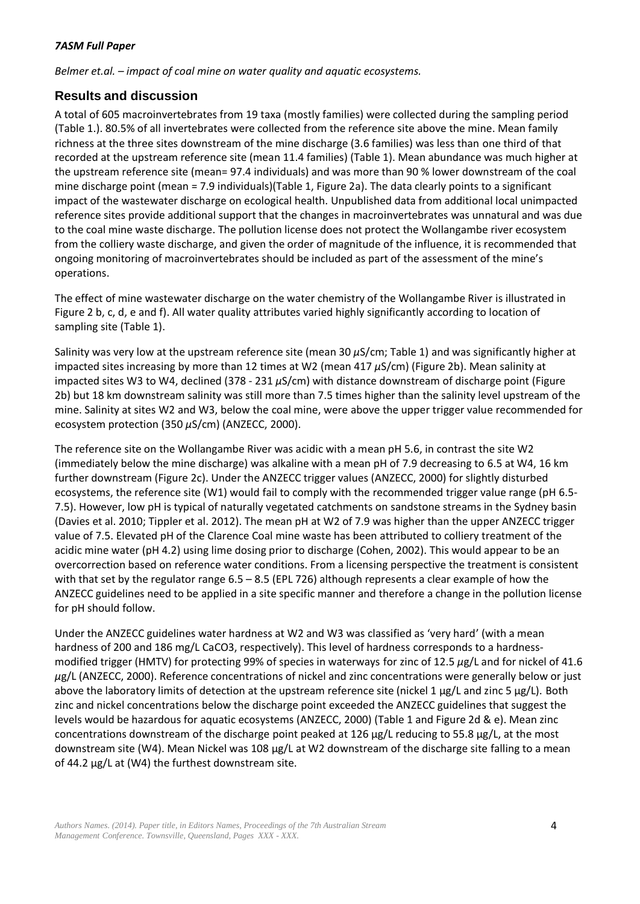*Belmer et.al. – impact of coal mine on water quality and aquatic ecosystems.*

## **Results and discussion**

A total of 605 macroinvertebrates from 19 taxa (mostly families) were collected during the sampling period (Table 1.). 80.5% of all invertebrates were collected from the reference site above the mine. Mean family richness at the three sites downstream of the mine discharge (3.6 families) was less than one third of that recorded at the upstream reference site (mean 11.4 families) (Table 1). Mean abundance was much higher at the upstream reference site (mean= 97.4 individuals) and was more than 90 % lower downstream of the coal mine discharge point (mean = 7.9 individuals)(Table 1, Figure 2a). The data clearly points to a significant impact of the wastewater discharge on ecological health. Unpublished data from additional local unimpacted reference sites provide additional support that the changes in macroinvertebrates was unnatural and was due to the coal mine waste discharge. The pollution license does not protect the Wollangambe river ecosystem from the colliery waste discharge, and given the order of magnitude of the influence, it is recommended that ongoing monitoring of macroinvertebrates should be included as part of the assessment of the mine's operations.

The effect of mine wastewater discharge on the water chemistry of the Wollangambe River is illustrated in Figure 2 b, c, d, e and f). All water quality attributes varied highly significantly according to location of sampling site (Table 1).

Salinity was very low at the upstream reference site (mean 30 *μ*S/cm; Table 1) and was significantly higher at impacted sites increasing by more than 12 times at W2 (mean 417 *μ*S/cm) (Figure 2b). Mean salinity at impacted sites W3 to W4, declined (378 - 231 *μ*S/cm) with distance downstream of discharge point (Figure 2b) but 18 km downstream salinity was still more than 7.5 times higher than the salinity level upstream of the mine. Salinity at sites W2 and W3, below the coal mine, were above the upper trigger value recommended for ecosystem protection (350 *μ*S/cm) (ANZECC, 2000).

The reference site on the Wollangambe River was acidic with a mean pH 5.6, in contrast the site W2 (immediately below the mine discharge) was alkaline with a mean pH of 7.9 decreasing to 6.5 at W4, 16 km further downstream (Figure 2c). Under the ANZECC trigger values (ANZECC, 2000) for slightly disturbed ecosystems, the reference site (W1) would fail to comply with the recommended trigger value range (pH 6.5- 7.5). However, low pH is typical of naturally vegetated catchments on sandstone streams in the Sydney basin (Davies et al. 2010; Tippler et al. 2012). The mean pH at W2 of 7.9 was higher than the upper ANZECC trigger value of 7.5. Elevated pH of the Clarence Coal mine waste has been attributed to colliery treatment of the acidic mine water (pH 4.2) using lime dosing prior to discharge (Cohen, 2002). This would appear to be an overcorrection based on reference water conditions. From a licensing perspective the treatment is consistent with that set by the regulator range 6.5 – 8.5 (EPL 726) although represents a clear example of how the ANZECC guidelines need to be applied in a site specific manner and therefore a change in the pollution license for pH should follow.

Under the ANZECC guidelines water hardness at W2 and W3 was classified as 'very hard' (with a mean hardness of 200 and 186 mg/L CaCO3, respectively). This level of hardness corresponds to a hardnessmodified trigger (HMTV) for protecting 99% of species in waterways for zinc of 12.5 *μ*g/L and for nickel of 41.6 *μ*g/L (ANZECC, 2000). Reference concentrations of nickel and zinc concentrations were generally below or just above the laboratory limits of detection at the upstream reference site (nickel 1 µg/L and zinc 5 µg/L). Both zinc and nickel concentrations below the discharge point exceeded the ANZECC guidelines that suggest the levels would be hazardous for aquatic ecosystems (ANZECC, 2000) (Table 1 and Figure 2d & e). Mean zinc concentrations downstream of the discharge point peaked at 126 µg/L reducing to 55.8 µg/L, at the most downstream site (W4). Mean Nickel was 108 µg/L at W2 downstream of the discharge site falling to a mean of 44.2 µg/L at (W4) the furthest downstream site.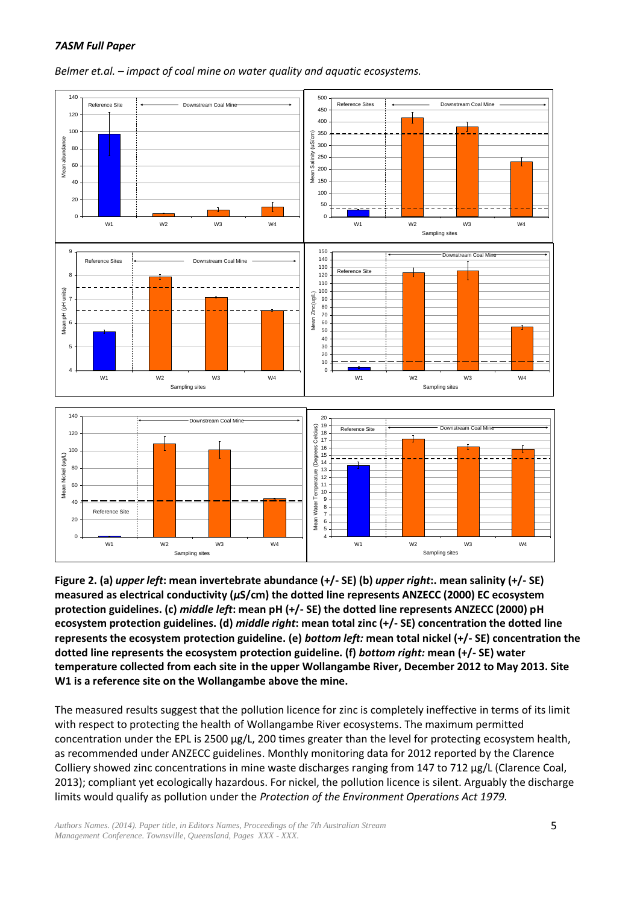



**Figure 2. (a)** *upper left***: mean invertebrate abundance (+/- SE) (b)** *upper right***:. mean salinity (+/- SE) measured as electrical conductivity (***μ***S/cm) the dotted line represents ANZECC (2000) EC ecosystem protection guidelines. (c)** *middle left***: mean pH (+/- SE) the dotted line represents ANZECC (2000) pH ecosystem protection guidelines. (d)** *middle right***: mean total zinc (+/- SE) concentration the dotted line represents the ecosystem protection guideline. (e)** *bottom left:* **mean total nickel (+/- SE) concentration the dotted line represents the ecosystem protection guideline. (f)** *bottom right:* **mean (+/- SE) water temperature collected from each site in the upper Wollangambe River, December 2012 to May 2013. Site W1 is a reference site on the Wollangambe above the mine.**

The measured results suggest that the pollution licence for zinc is completely ineffective in terms of its limit with respect to protecting the health of Wollangambe River ecosystems. The maximum permitted concentration under the EPL is 2500 µg/L, 200 times greater than the level for protecting ecosystem health, as recommended under ANZECC guidelines. Monthly monitoring data for 2012 reported by the Clarence Colliery showed zinc concentrations in mine waste discharges ranging from 147 to 712 µg/L (Clarence Coal, 2013); compliant yet ecologically hazardous. For nickel, the pollution licence is silent. Arguably the discharge limits would qualify as pollution under the *Protection of the Environment Operations Act 1979.*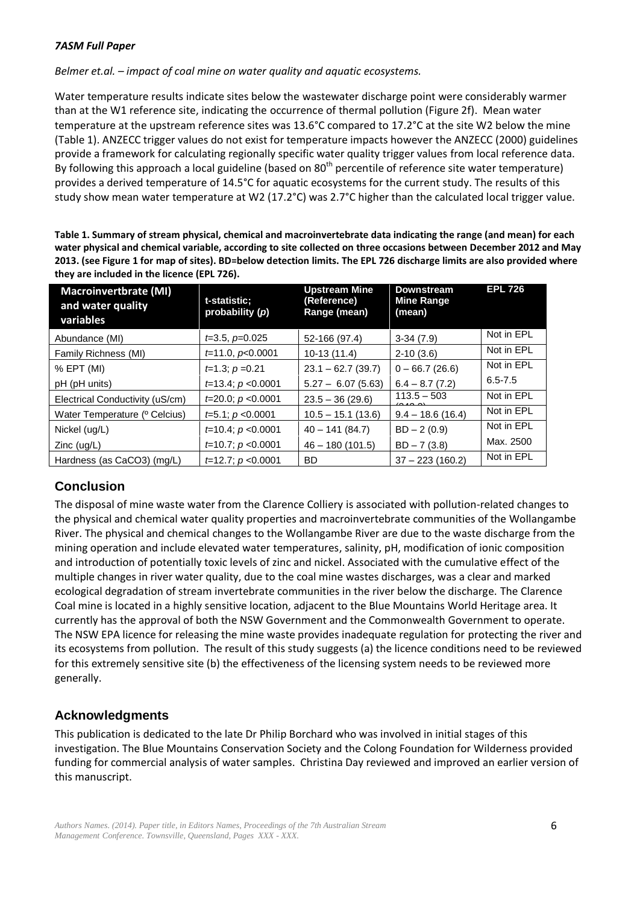*Belmer et.al. – impact of coal mine on water quality and aquatic ecosystems.*

Water temperature results indicate sites below the wastewater discharge point were considerably warmer than at the W1 reference site, indicating the occurrence of thermal pollution (Figure 2f). Mean water temperature at the upstream reference sites was 13.6°C compared to 17.2°C at the site W2 below the mine (Table 1). ANZECC trigger values do not exist for temperature impacts however the ANZECC (2000) guidelines provide a framework for calculating regionally specific water quality trigger values from local reference data. By following this approach a local guideline (based on 80<sup>th</sup> percentile of reference site water temperature) provides a derived temperature of 14.5°C for aquatic ecosystems for the current study. The results of this study show mean water temperature at W2 (17.2°C) was 2.7°C higher than the calculated local trigger value.

**Table 1. Summary of stream physical, chemical and macroinvertebrate data indicating the range (and mean) for each water physical and chemical variable, according to site collected on three occasions between December 2012 and May 2013. (see Figure 1 for map of sites). BD=below detection limits. The EPL 726 discharge limits are also provided where they are included in the licence (EPL 726).**

| <b>Macroinvertbrate (MI)</b><br>and water quality<br>variables | t-statistic;<br>probability (p) | <b>Upstream Mine</b><br>(Reference)<br>Range (mean) | <b>Downstream</b><br><b>Mine Range</b><br>(mean) | <b>EPL 726</b> |
|----------------------------------------------------------------|---------------------------------|-----------------------------------------------------|--------------------------------------------------|----------------|
| Abundance (MI)                                                 | $t=3.5, p=0.025$                | 52-166 (97.4)                                       | $3-34(7.9)$                                      | Not in EPL     |
| Family Richness (MI)                                           | $t=11.0, p<0.0001$              | $10-13(11.4)$                                       | $2-10(3.6)$                                      | Not in EPL     |
| $% EPT$ (MI)                                                   | $t=1.3; p=0.21$                 | $23.1 - 62.7(39.7)$                                 | $0 - 66.7(26.6)$                                 | Not in EPL     |
| pH (pH units)                                                  | $t=13.4$ ; $p < 0.0001$         | $5.27 - 6.07(5.63)$                                 | $6.4 - 8.7(7.2)$                                 | $6.5 - 7.5$    |
| Electrical Conductivity (uS/cm)                                | $t=20.0$ ; $p < 0.0001$         | $23.5 - 36(29.6)$                                   | $113.5 - 503$                                    | Not in EPL     |
| Water Temperature ( <sup>o</sup> Celcius)                      | $t=5.1$ ; $p < 0.0001$          | $10.5 - 15.1(13.6)$                                 | $9.4 - 18.6(16.4)$                               | Not in EPL     |
| Nickel (ug/L)                                                  | $t=10.4$ ; $p < 0.0001$         | $40 - 141(84.7)$                                    | $BD - 2(0.9)$                                    | Not in EPL     |
| $Zinc$ (ug/L)                                                  | $t=10.7; p < 0.0001$            | $46 - 180(101.5)$                                   | $BD - 7(3.8)$                                    | Max. 2500      |
| Hardness (as CaCO3) (mg/L)                                     | $t=12.7$ ; $p < 0.0001$         | BD                                                  | $37 - 223(160.2)$                                | Not in EPL     |

## **Conclusion**

The disposal of mine waste water from the Clarence Colliery is associated with pollution-related changes to the physical and chemical water quality properties and macroinvertebrate communities of the Wollangambe River. The physical and chemical changes to the Wollangambe River are due to the waste discharge from the mining operation and include elevated water temperatures, salinity, pH, modification of ionic composition and introduction of potentially toxic levels of zinc and nickel. Associated with the cumulative effect of the multiple changes in river water quality, due to the coal mine wastes discharges, was a clear and marked ecological degradation of stream invertebrate communities in the river below the discharge. The Clarence Coal mine is located in a highly sensitive location, adjacent to the Blue Mountains World Heritage area. It currently has the approval of both the NSW Government and the Commonwealth Government to operate. The NSW EPA licence for releasing the mine waste provides inadequate regulation for protecting the river and its ecosystems from pollution. The result of this study suggests (a) the licence conditions need to be reviewed for this extremely sensitive site (b) the effectiveness of the licensing system needs to be reviewed more generally.

## **Acknowledgments**

This publication is dedicated to the late Dr Philip Borchard who was involved in initial stages of this investigation. The Blue Mountains Conservation Society and the Colong Foundation for Wilderness provided funding for commercial analysis of water samples. Christina Day reviewed and improved an earlier version of this manuscript.